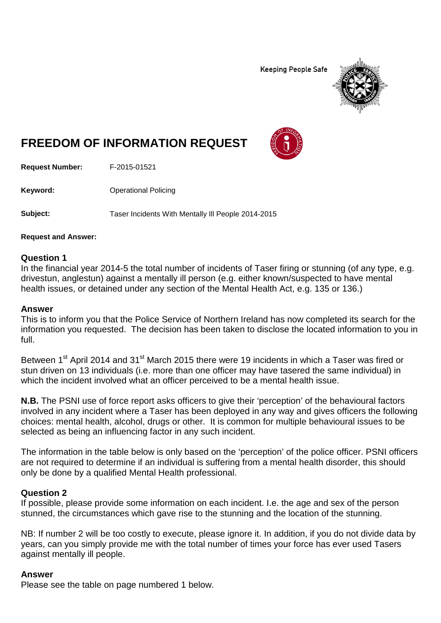**Keeping People Safe** 



# **FREEDOM OF INFORMATION REQUEST**

**Request Number:** F-2015-01521

**Keyword:** Operational Policing

**Subject:** Taser Incidents With Mentally Ill People 2014-2015

**Request and Answer:**

## **Question 1**

In the financial year 2014-5 the total number of incidents of Taser firing or stunning (of any type, e.g. drivestun, anglestun) against a mentally ill person (e.g. either known/suspected to have mental health issues, or detained under any section of the Mental Health Act, e.g. 135 or 136.)

### **Answer**

This is to inform you that the Police Service of Northern Ireland has now completed its search for the information you requested. The decision has been taken to disclose the located information to you in full.

Between 1<sup>st</sup> April 2014 and 31<sup>st</sup> March 2015 there were 19 incidents in which a Taser was fired or stun driven on 13 individuals (i.e. more than one officer may have tasered the same individual) in which the incident involved what an officer perceived to be a mental health issue.

**N.B.** The PSNI use of force report asks officers to give their 'perception' of the behavioural factors involved in any incident where a Taser has been deployed in any way and gives officers the following choices: mental health, alcohol, drugs or other. It is common for multiple behavioural issues to be selected as being an influencing factor in any such incident.

The information in the table below is only based on the 'perception' of the police officer. PSNI officers are not required to determine if an individual is suffering from a mental health disorder, this should only be done by a qualified Mental Health professional.

## **Question 2**

If possible, please provide some information on each incident. I.e. the age and sex of the person stunned, the circumstances which gave rise to the stunning and the location of the stunning.

NB: If number 2 will be too costly to execute, please ignore it. In addition, if you do not divide data by years, can you simply provide me with the total number of times your force has ever used Tasers against mentally ill people.

#### **Answer**

Please see the table on page numbered 1 below.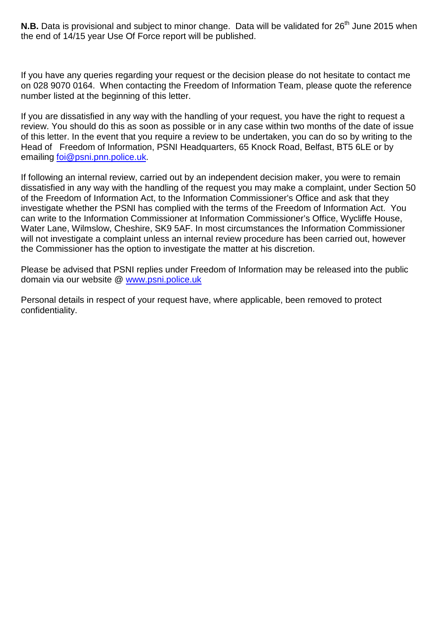**N.B.** Data is provisional and subject to minor change. Data will be validated for 26<sup>th</sup> June 2015 when the end of 14/15 year Use Of Force report will be published.

If you have any queries regarding your request or the decision please do not hesitate to contact me on 028 9070 0164. When contacting the Freedom of Information Team, please quote the reference number listed at the beginning of this letter.

If you are dissatisfied in any way with the handling of your request, you have the right to request a review. You should do this as soon as possible or in any case within two months of the date of issue of this letter. In the event that you require a review to be undertaken, you can do so by writing to the Head of Freedom of Information, PSNI Headquarters, 65 Knock Road, Belfast, BT5 6LE or by emailing [foi@psni.pnn.police.uk.](mailto:foi@psni.pnn.police.uk)

If following an internal review, carried out by an independent decision maker, you were to remain dissatisfied in any way with the handling of the request you may make a complaint, under Section 50 of the Freedom of Information Act, to the Information Commissioner's Office and ask that they investigate whether the PSNI has complied with the terms of the Freedom of Information Act. You can write to the Information Commissioner at Information Commissioner's Office, Wycliffe House, Water Lane, Wilmslow, Cheshire, SK9 5AF. In most circumstances the Information Commissioner will not investigate a complaint unless an internal review procedure has been carried out, however the Commissioner has the option to investigate the matter at his discretion.

Please be advised that PSNI replies under Freedom of Information may be released into the public domain via our website @ [www.psni.police.uk](http://www.psni.police.uk/)

Personal details in respect of your request have, where applicable, been removed to protect confidentiality.